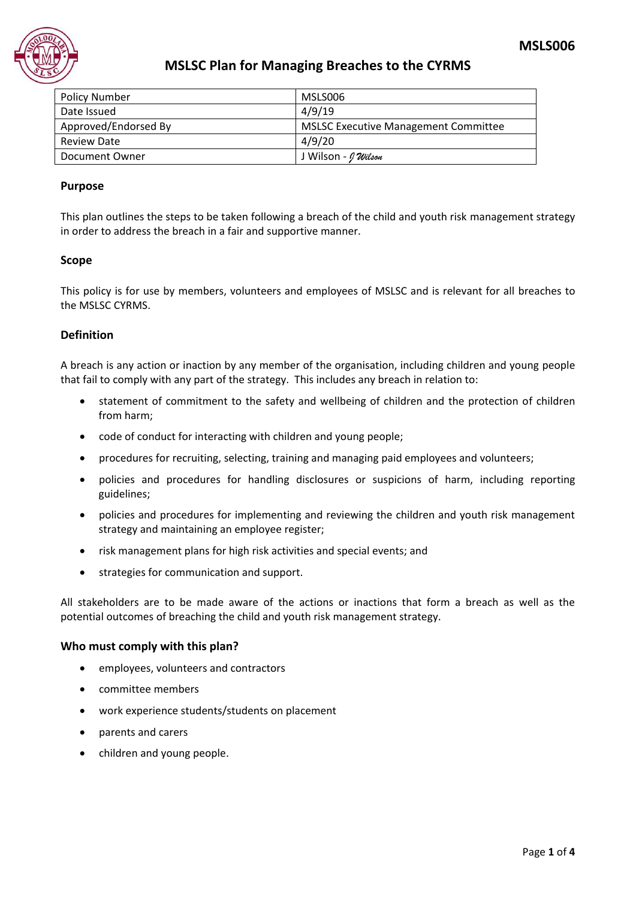

### **MSLSC Plan for Managing Breaches to the CYRMS**

| <b>Policy Number</b> | MSLS006                                     |
|----------------------|---------------------------------------------|
| Date Issued          | 4/9/19                                      |
| Approved/Endorsed By | <b>MSLSC Executive Management Committee</b> |
| <b>Review Date</b>   | 4/9/20                                      |
| Document Owner       | J Wilson - <i>I Wilson</i>                  |

#### **Purpose**

This plan outlines the steps to be taken following a breach of the child and youth risk management strategy in order to address the breach in a fair and supportive manner.

#### **Scope**

This policy is for use by members, volunteers and employees of MSLSC and is relevant for all breaches to the MSLSC CYRMS.

#### **Definition**

A breach is any action or inaction by any member of the organisation, including children and young people that fail to comply with any part of the strategy. This includes any breach in relation to:

- statement of commitment to the safety and wellbeing of children and the protection of children from harm;
- code of conduct for interacting with children and young people;
- procedures for recruiting, selecting, training and managing paid employees and volunteers;
- policies and procedures for handling disclosures or suspicions of harm, including reporting guidelines;
- policies and procedures for implementing and reviewing the children and youth risk management strategy and maintaining an employee register;
- risk management plans for high risk activities and special events; and
- strategies for communication and support.

All stakeholders are to be made aware of the actions or inactions that form a breach as well as the potential outcomes of breaching the child and youth risk management strategy.

#### **Who must comply with this plan?**

- employees, volunteers and contractors
- committee members
- work experience students/students on placement
- parents and carers
- children and young people.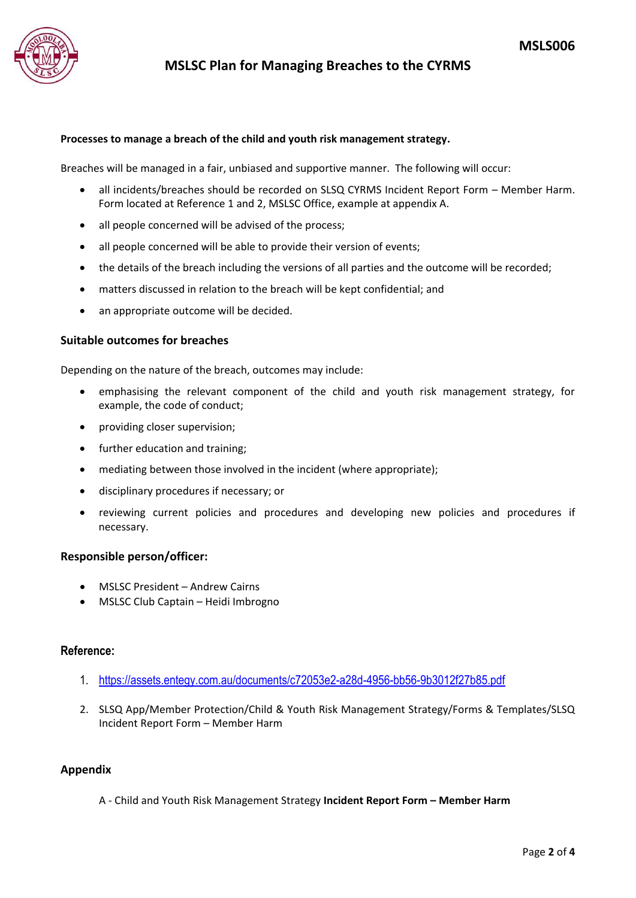

#### **Processes to manage a breach of the child and youth risk management strategy.**

Breaches will be managed in a fair, unbiased and supportive manner. The following will occur:

- all incidents/breaches should be recorded on SLSQ CYRMS Incident Report Form Member Harm. Form located at Reference 1 and 2, MSLSC Office, example at appendix A.
- all people concerned will be advised of the process;
- all people concerned will be able to provide their version of events;
- the details of the breach including the versions of all parties and the outcome will be recorded;
- matters discussed in relation to the breach will be kept confidential; and
- an appropriate outcome will be decided.

#### **Suitable outcomes for breaches**

Depending on the nature of the breach, outcomes may include:

- emphasising the relevant component of the child and youth risk management strategy, for example, the code of conduct;
- providing closer supervision;
- further education and training;
- mediating between those involved in the incident (where appropriate);
- disciplinary procedures if necessary; or
- reviewing current policies and procedures and developing new policies and procedures if necessary.

#### **Responsible person/officer:**

- MSLSC President Andrew Cairns
- MSLSC Club Captain Heidi Imbrogno

#### **Reference:**

- 1. <https://assets.entegy.com.au/documents/c72053e2-a28d-4956-bb56-9b3012f27b85.pdf>
- 2. SLSQ App/Member Protection/Child & Youth Risk Management Strategy/Forms & Templates/SLSQ Incident Report Form – Member Harm

#### **Appendix**

A - Child and Youth Risk Management Strategy **Incident Report Form – Member Harm**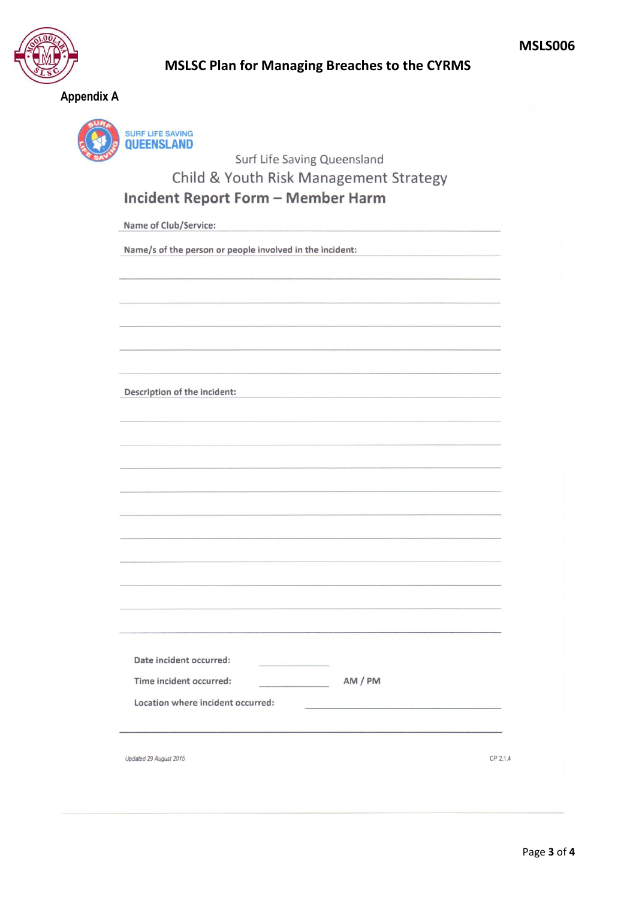

### **MSLSC Plan for Managing Breaches to the CYRMS**

**Appendix A**



Surf Life Saving Queensland

## Child & Youth Risk Management Strategy

## **Incident Report Form - Member Harm**

Name of Club/Service:

Name/s of the person or people involved in the incident:

| Description of the incident: |  |  |  |
|------------------------------|--|--|--|

| - ----- <i>-----</i> -- -- ---- -----------                                                                                                                                                                                    |                                                                                                                       |          |
|--------------------------------------------------------------------------------------------------------------------------------------------------------------------------------------------------------------------------------|-----------------------------------------------------------------------------------------------------------------------|----------|
|                                                                                                                                                                                                                                |                                                                                                                       |          |
|                                                                                                                                                                                                                                |                                                                                                                       |          |
|                                                                                                                                                                                                                                |                                                                                                                       |          |
|                                                                                                                                                                                                                                |                                                                                                                       |          |
|                                                                                                                                                                                                                                |                                                                                                                       |          |
|                                                                                                                                                                                                                                |                                                                                                                       |          |
|                                                                                                                                                                                                                                |                                                                                                                       |          |
|                                                                                                                                                                                                                                |                                                                                                                       |          |
|                                                                                                                                                                                                                                |                                                                                                                       |          |
| Conversions and construction of the construction of the construction of the company of the construction of the construction of the construction of the construction of the construction of the construction of the constructio |                                                                                                                       |          |
|                                                                                                                                                                                                                                |                                                                                                                       |          |
|                                                                                                                                                                                                                                |                                                                                                                       |          |
| <u> 1989 - Andrea Stadt Britain, amerikansk politik (d. 1989)</u>                                                                                                                                                              |                                                                                                                       |          |
|                                                                                                                                                                                                                                |                                                                                                                       |          |
|                                                                                                                                                                                                                                |                                                                                                                       |          |
|                                                                                                                                                                                                                                | <u> 1980 - Grand Maria Barbara, manazarta da matsayar ama da shekara a shekara ta 1980 a tsara a shekara tsa a sh</u> |          |
|                                                                                                                                                                                                                                |                                                                                                                       |          |
|                                                                                                                                                                                                                                |                                                                                                                       |          |
| a considerativo de la construcción de la construcción de la construcción de la construcción de la construcción                                                                                                                 |                                                                                                                       |          |
|                                                                                                                                                                                                                                |                                                                                                                       |          |
|                                                                                                                                                                                                                                |                                                                                                                       |          |
|                                                                                                                                                                                                                                |                                                                                                                       |          |
|                                                                                                                                                                                                                                |                                                                                                                       |          |
|                                                                                                                                                                                                                                |                                                                                                                       |          |
|                                                                                                                                                                                                                                |                                                                                                                       |          |
|                                                                                                                                                                                                                                |                                                                                                                       |          |
|                                                                                                                                                                                                                                |                                                                                                                       |          |
|                                                                                                                                                                                                                                |                                                                                                                       |          |
|                                                                                                                                                                                                                                |                                                                                                                       |          |
|                                                                                                                                                                                                                                |                                                                                                                       |          |
|                                                                                                                                                                                                                                |                                                                                                                       |          |
| 그 그는 그 그 사람들은 그 사람들을 지나 아니라 그 사람들을 지나 않았다. 그 사람들은 그 사람들은 그 사람들을 지나 않았다.                                                                                                                                                        |                                                                                                                       |          |
|                                                                                                                                                                                                                                |                                                                                                                       |          |
|                                                                                                                                                                                                                                |                                                                                                                       |          |
| Date incident occurred:                                                                                                                                                                                                        |                                                                                                                       |          |
|                                                                                                                                                                                                                                |                                                                                                                       |          |
|                                                                                                                                                                                                                                |                                                                                                                       |          |
| Time incident occurred:                                                                                                                                                                                                        | AM / PM                                                                                                               |          |
|                                                                                                                                                                                                                                |                                                                                                                       |          |
|                                                                                                                                                                                                                                |                                                                                                                       |          |
| Location where incident occurred:                                                                                                                                                                                              |                                                                                                                       |          |
|                                                                                                                                                                                                                                |                                                                                                                       |          |
|                                                                                                                                                                                                                                |                                                                                                                       |          |
|                                                                                                                                                                                                                                |                                                                                                                       |          |
|                                                                                                                                                                                                                                |                                                                                                                       |          |
|                                                                                                                                                                                                                                |                                                                                                                       |          |
|                                                                                                                                                                                                                                |                                                                                                                       |          |
|                                                                                                                                                                                                                                |                                                                                                                       |          |
| Updated 29 August 2015                                                                                                                                                                                                         |                                                                                                                       | CP 2.1.4 |
|                                                                                                                                                                                                                                |                                                                                                                       |          |